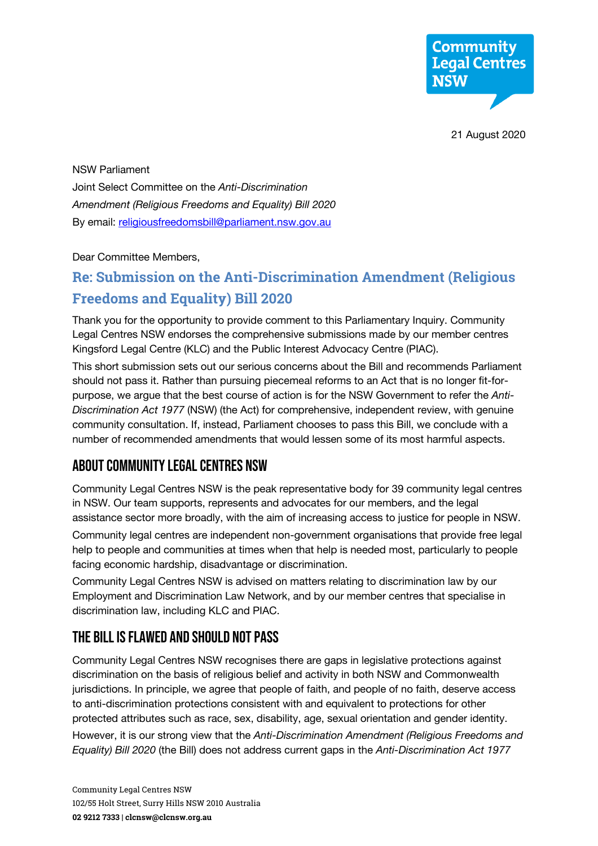

21 August 2020

NSW Parliament Joint Select Committee on the *Anti-Discrimination Amendment (Religious Freedoms and Equality) Bill 2020* By email: religiousfreedomsbill@parliament.nsw.gov.au

Dear Committee Members,

# **Re: Submission on the Anti-Discrimination Amendment (Religious Freedoms and Equality) Bill 2020**

Thank you for the opportunity to provide comment to this Parliamentary Inquiry. Community Legal Centres NSW endorses the comprehensive submissions made by our member centres Kingsford Legal Centre (KLC) and the Public Interest Advocacy Centre (PIAC).

This short submission sets out our serious concerns about the Bill and recommends Parliament should not pass it. Rather than pursuing piecemeal reforms to an Act that is no longer fit-forpurpose, we argue that the best course of action is for the NSW Government to refer the *Anti-Discrimination Act 1977* (NSW) (the Act) for comprehensive, independent review, with genuine community consultation. If, instead, Parliament chooses to pass this Bill, we conclude with a number of recommended amendments that would lessen some of its most harmful aspects.

# About Community Legal Centres NSW

Community Legal Centres NSW is the peak representative body for 39 community legal centres in NSW. Our team supports, represents and advocates for our members, and the legal assistance sector more broadly, with the aim of increasing access to justice for people in NSW.

Community legal centres are independent non-government organisations that provide free legal help to people and communities at times when that help is needed most, particularly to people facing economic hardship, disadvantage or discrimination.

Community Legal Centres NSW is advised on matters relating to discrimination law by our Employment and Discrimination Law Network, and by our member centres that specialise in discrimination law, including KLC and PIAC.

# The bill is flawed and should not pass

Community Legal Centres NSW recognises there are gaps in legislative protections against discrimination on the basis of religious belief and activity in both NSW and Commonwealth jurisdictions. In principle, we agree that people of faith, and people of no faith, deserve access to anti-discrimination protections consistent with and equivalent to protections for other protected attributes such as race, sex, disability, age, sexual orientation and gender identity. However, it is our strong view that the *Anti-Discrimination Amendment (Religious Freedoms and Equality) Bill 2020* (the Bill) does not address current gaps in the *Anti-Discrimination Act 1977*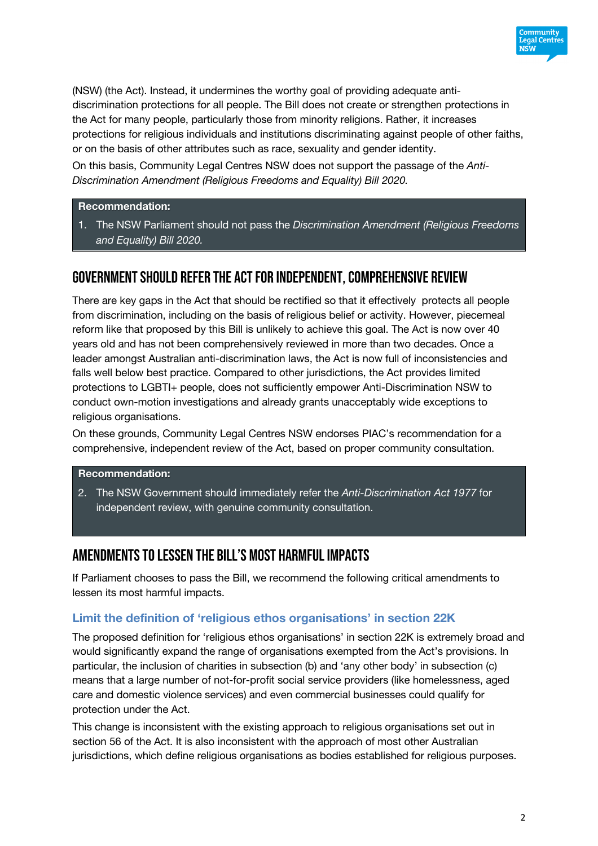

(NSW) (the Act). Instead, it undermines the worthy goal of providing adequate antidiscrimination protections for all people. The Bill does not create or strengthen protections in the Act for many people, particularly those from minority religions. Rather, it increases protections for religious individuals and institutions discriminating against people of other faiths, or on the basis of other attributes such as race, sexuality and gender identity.

On this basis, Community Legal Centres NSW does not support the passage of the *Anti-Discrimination Amendment (Religious Freedoms and Equality) Bill 2020.*

## **Recommendation:**

1. The NSW Parliament should not pass the *Discrimination Amendment (Religious Freedoms and Equality) Bill 2020.*

# GOVERNMENT SHOULD REFER THE ACT FOR INDEPENDENT, COMPREHENSIVE REVIEW

There are key gaps in the Act that should be rectified so that it effectively protects all people from discrimination, including on the basis of religious belief or activity. However, piecemeal reform like that proposed by this Bill is unlikely to achieve this goal. The Act is now over 40 years old and has not been comprehensively reviewed in more than two decades. Once a leader amongst Australian anti-discrimination laws, the Act is now full of inconsistencies and falls well below best practice. Compared to other jurisdictions, the Act provides limited protections to LGBTI+ people, does not sufficiently empower Anti-Discrimination NSW to conduct own-motion investigations and already grants unacceptably wide exceptions to religious organisations.

On these grounds, Community Legal Centres NSW endorses PIAC's recommendation for a comprehensive, independent review of the Act, based on proper community consultation.

### **Recommendation:**

2. The NSW Government should immediately refer the *Anti-Discrimination Act 1977* for independent review, with genuine community consultation.

# Amendments to lessen the Bill's most harmful impacts

If Parliament chooses to pass the Bill, we recommend the following critical amendments to lessen its most harmful impacts.

## **Limit the definition of 'religious ethos organisations' in section 22K**

The proposed definition for 'religious ethos organisations' in section 22K is extremely broad and would significantly expand the range of organisations exempted from the Act's provisions. In particular, the inclusion of charities in subsection (b) and 'any other body' in subsection (c) means that a large number of not-for-profit social service providers (like homelessness, aged care and domestic violence services) and even commercial businesses could qualify for protection under the Act.

This change is inconsistent with the existing approach to religious organisations set out in section 56 of the Act. It is also inconsistent with the approach of most other Australian jurisdictions, which define religious organisations as bodies established for religious purposes.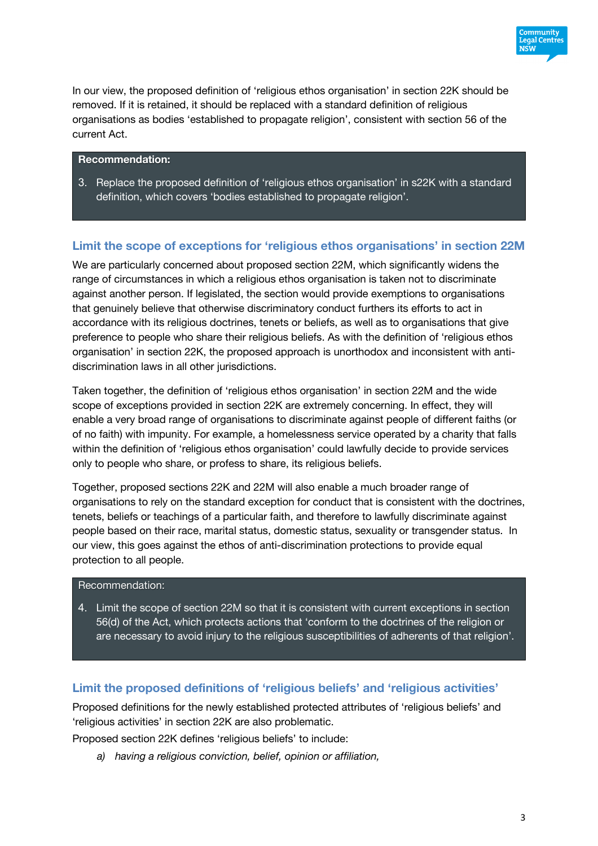

In our view, the proposed definition of 'religious ethos organisation' in section 22K should be removed. If it is retained, it should be replaced with a standard definition of religious organisations as bodies 'established to propagate religion', consistent with section 56 of the current Act.

## **Recommendation:**

3. Replace the proposed definition of 'religious ethos organisation' in s22K with a standard definition, which covers 'bodies established to propagate religion'.

## **Limit the scope of exceptions for 'religious ethos organisations' in section 22M**

We are particularly concerned about proposed section 22M, which significantly widens the range of circumstances in which a religious ethos organisation is taken not to discriminate against another person. If legislated, the section would provide exemptions to organisations that genuinely believe that otherwise discriminatory conduct furthers its efforts to act in accordance with its religious doctrines, tenets or beliefs, as well as to organisations that give preference to people who share their religious beliefs. As with the definition of 'religious ethos organisation' in section 22K, the proposed approach is unorthodox and inconsistent with antidiscrimination laws in all other jurisdictions.

Taken together, the definition of 'religious ethos organisation' in section 22M and the wide scope of exceptions provided in section 22K are extremely concerning. In effect, they will enable a very broad range of organisations to discriminate against people of different faiths (or of no faith) with impunity. For example, a homelessness service operated by a charity that falls within the definition of 'religious ethos organisation' could lawfully decide to provide services only to people who share, or profess to share, its religious beliefs.

Together, proposed sections 22K and 22M will also enable a much broader range of organisations to rely on the standard exception for conduct that is consistent with the doctrines, tenets, beliefs or teachings of a particular faith, and therefore to lawfully discriminate against people based on their race, marital status, domestic status, sexuality or transgender status. In our view, this goes against the ethos of anti-discrimination protections to provide equal protection to all people.

## Recommendation:

4. Limit the scope of section 22M so that it is consistent with current exceptions in section 56(d) of the Act, which protects actions that 'conform to the doctrines of the religion or are necessary to avoid injury to the religious susceptibilities of adherents of that religion'.

## **Limit the proposed definitions of 'religious beliefs' and 'religious activities'**

Proposed definitions for the newly established protected attributes of 'religious beliefs' and 'religious activities' in section 22K are also problematic.

Proposed section 22K defines 'religious beliefs' to include:

*a) having a religious conviction, belief, opinion or affiliation,*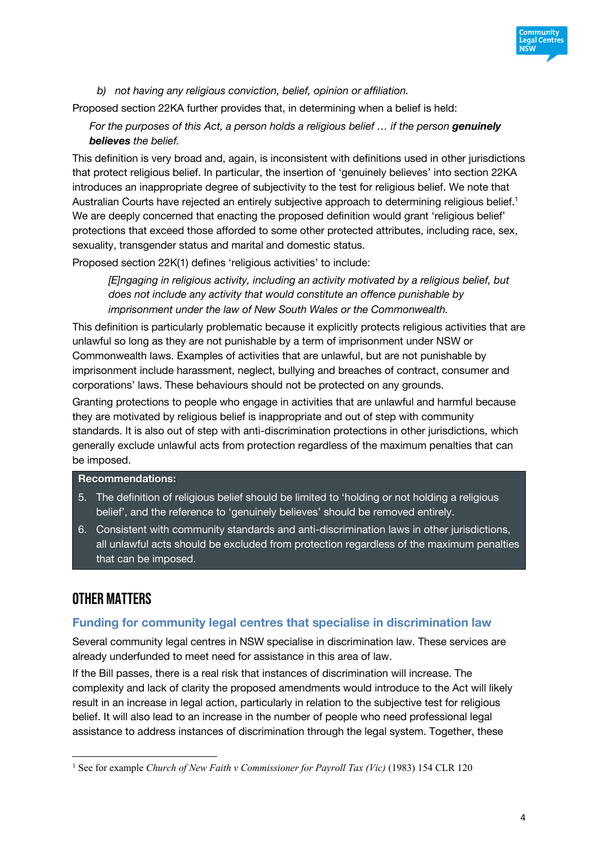

*b) not having any religious conviction, belief, opinion or affiliation.*

Proposed section 22KA further provides that, in determining when a belief is held:

*For the purposes of this Act, a person holds a religious belief … if the person genuinely believes the belief.*

This definition is very broad and, again, is inconsistent with definitions used in other jurisdictions that protect religious belief. In particular, the insertion of 'genuinely believes' into section 22KA introduces an inappropriate degree of subjectivity to the test for religious belief. We note that Australian Courts have rejected an entirely subjective approach to determining religious belief.<sup>1</sup> We are deeply concerned that enacting the proposed definition would grant 'religious belief' protections that exceed those afforded to some other protected attributes, including race, sex, sexuality, transgender status and marital and domestic status.

Proposed section 22K(1) defines 'religious activities' to include:

*[E]ngaging in religious activity, including an activity motivated by a religious belief, but does not include any activity that would constitute an offence punishable by imprisonment under the law of New South Wales or the Commonwealth.*

This definition is particularly problematic because it explicitly protects religious activities that are unlawful so long as they are not punishable by a term of imprisonment under NSW or Commonwealth laws. Examples of activities that are unlawful, but are not punishable by imprisonment include harassment, neglect, bullying and breaches of contract, consumer and corporations' laws. These behaviours should not be protected on any grounds.

Granting protections to people who engage in activities that are unlawful and harmful because they are motivated by religious belief is inappropriate and out of step with community standards. It is also out of step with anti-discrimination protections in other jurisdictions, which generally exclude unlawful acts from protection regardless of the maximum penalties that can be imposed.

### **Recommendations:**

- 5. The definition of religious belief should be limited to 'holding or not holding a religious belief', and the reference to 'genuinely believes' should be removed entirely.
- 6. Consistent with community standards and anti-discrimination laws in other jurisdictions, all unlawful acts should be excluded from protection regardless of the maximum penalties that can be imposed.

# Other matters

### **Funding for community legal centres that specialise in discrimination law**

Several community legal centres in NSW specialise in discrimination law. These services are already underfunded to meet need for assistance in this area of law.

If the Bill passes, there is a real risk that instances of discrimination will increase. The complexity and lack of clarity the proposed amendments would introduce to the Act will likely result in an increase in legal action, particularly in relation to the subjective test for religious belief. It will also lead to an increase in the number of people who need professional legal assistance to address instances of discrimination through the legal system. Together, these

<sup>&</sup>lt;sup>1</sup> See for example *Church of New Faith v Commissioner for Payroll Tax (Vic)* (1983) 154 CLR 120